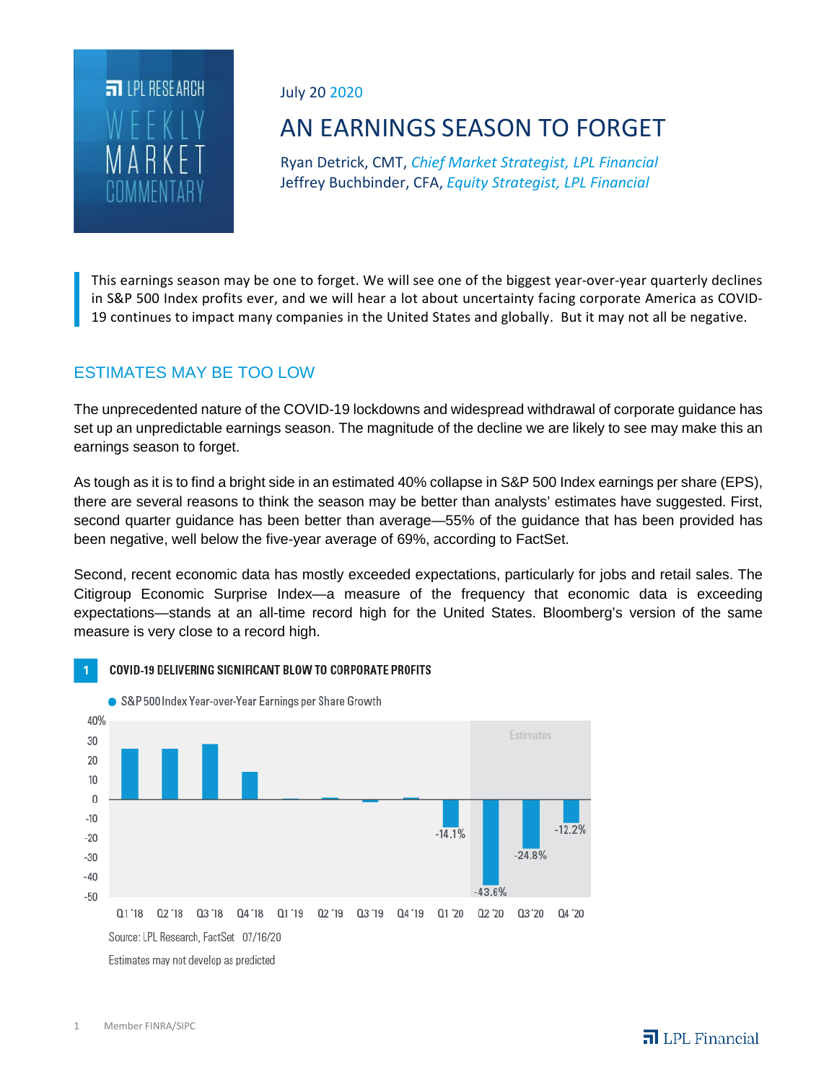

July 20 2020

# AN EARNINGS SEASON TO FORGET

Ryan Detrick, CMT, *Chief Market Strategist, LPL Financial* Jeffrey Buchbinder, CFA, *Equity Strategist, LPL Financial*

This earnings season may be one to forget. We will see one of the biggest year-over-year quarterly declines in S&P 500 Index profits ever, and we will hear a lot about uncertainty facing corporate America as COVID-19 continues to impact many companies in the United States and globally. But it may not all be negative.

# ESTIMATES MAY BE TOO LOW

The unprecedented nature of the COVID-19 lockdowns and widespread withdrawal of corporate guidance has set up an unpredictable earnings season. The magnitude of the decline we are likely to see may make this an earnings season to forget.

As tough as it is to find a bright side in an estimated 40% collapse in S&P 500 Index earnings per share (EPS), there are several reasons to think the season may be better than analysts' estimates have suggested. First, second quarter guidance has been better than average—55% of the guidance that has been provided has been negative, well below the five-year average of 69%, according to FactSet.

Second, recent economic data has mostly exceeded expectations, particularly for jobs and retail sales. The Citigroup Economic Surprise Index—a measure of the frequency that economic data is exceeding expectations—stands at an all-time record high for the United States. Bloomberg's version of the same measure is very close to a record high.



#### COVID-19 DELIVERING SIGNIFICANT BLOW TO CORPORATE PROFITS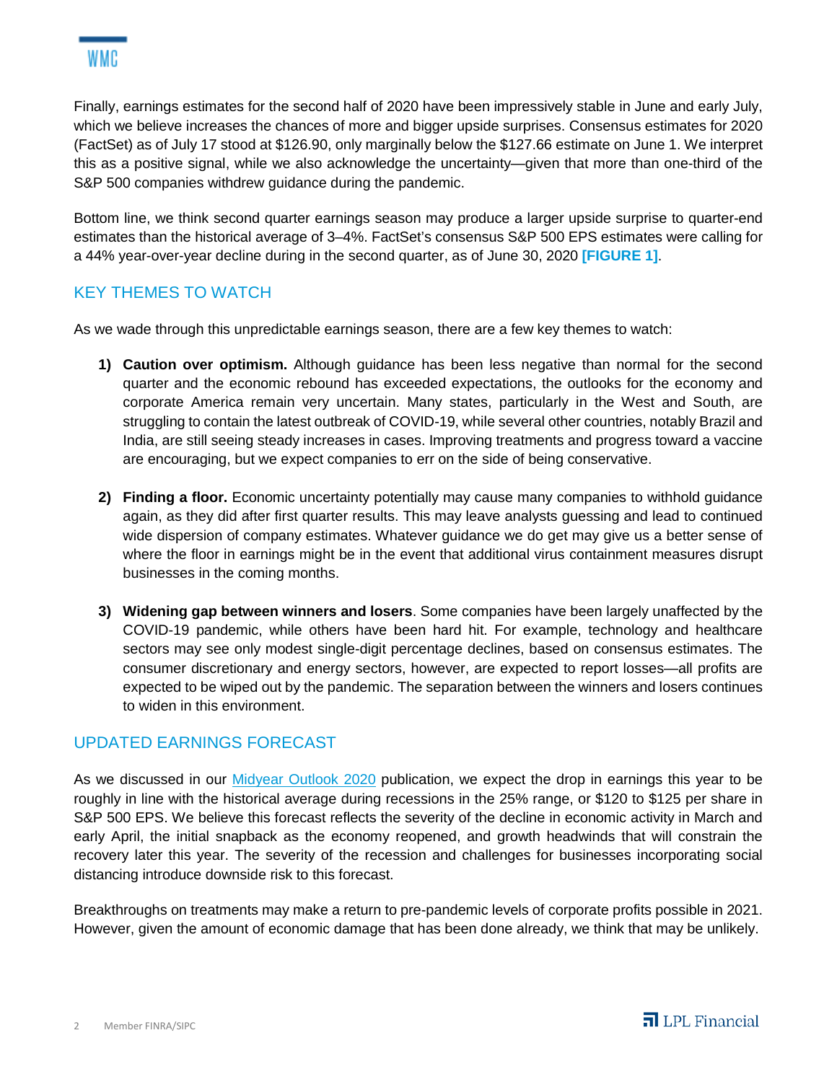Finally, earnings estimates for the second half of 2020 have been impressively stable in June and early July, which we believe increases the chances of more and bigger upside surprises. Consensus estimates for 2020 (FactSet) as of July 17 stood at \$126.90, only marginally below the \$127.66 estimate on June 1. We interpret this as a positive signal, while we also acknowledge the uncertainty—given that more than one-third of the S&P 500 companies withdrew guidance during the pandemic.

Bottom line, we think second quarter earnings season may produce a larger upside surprise to quarter-end estimates than the historical average of 3–4%. FactSet's consensus S&P 500 EPS estimates were calling for a 44% year-over-year decline during in the second quarter, as of June 30, 2020 **[FIGURE 1]**.

### KEY THEMES TO WATCH

As we wade through this unpredictable earnings season, there are a few key themes to watch:

- **1) Caution over optimism.** Although guidance has been less negative than normal for the second quarter and the economic rebound has exceeded expectations, the outlooks for the economy and corporate America remain very uncertain. Many states, particularly in the West and South, are struggling to contain the latest outbreak of COVID-19, while several other countries, notably Brazil and India, are still seeing steady increases in cases. Improving treatments and progress toward a vaccine are encouraging, but we expect companies to err on the side of being conservative.
- **2) Finding a floor.** Economic uncertainty potentially may cause many companies to withhold guidance again, as they did after first quarter results. This may leave analysts guessing and lead to continued wide dispersion of company estimates. Whatever guidance we do get may give us a better sense of where the floor in earnings might be in the event that additional virus containment measures disrupt businesses in the coming months.
- **3) Widening gap between winners and losers**. Some companies have been largely unaffected by the COVID-19 pandemic, while others have been hard hit. For example, technology and healthcare sectors may see only modest single-digit percentage declines, based on consensus estimates. The consumer discretionary and energy sectors, however, are expected to report losses—all profits are expected to be wiped out by the pandemic. The separation between the winners and losers continues to widen in this environment.

#### UPDATED EARNINGS FORECAST

As we discussed in our *Midyear Outlook 2020* publication, we expect the drop in earnings this year to be roughly in line with the historical average during recessions in the 25% range, or \$120 to \$125 per share in S&P 500 EPS. We believe this forecast reflects the severity of the decline in economic activity in March and early April, the initial snapback as the economy reopened, and growth headwinds that will constrain the recovery later this year. The severity of the recession and challenges for businesses incorporating social distancing introduce downside risk to this forecast.

Breakthroughs on treatments may make a return to pre-pandemic levels of corporate profits possible in 2021. However, given the amount of economic damage that has been done already, we think that may be unlikely.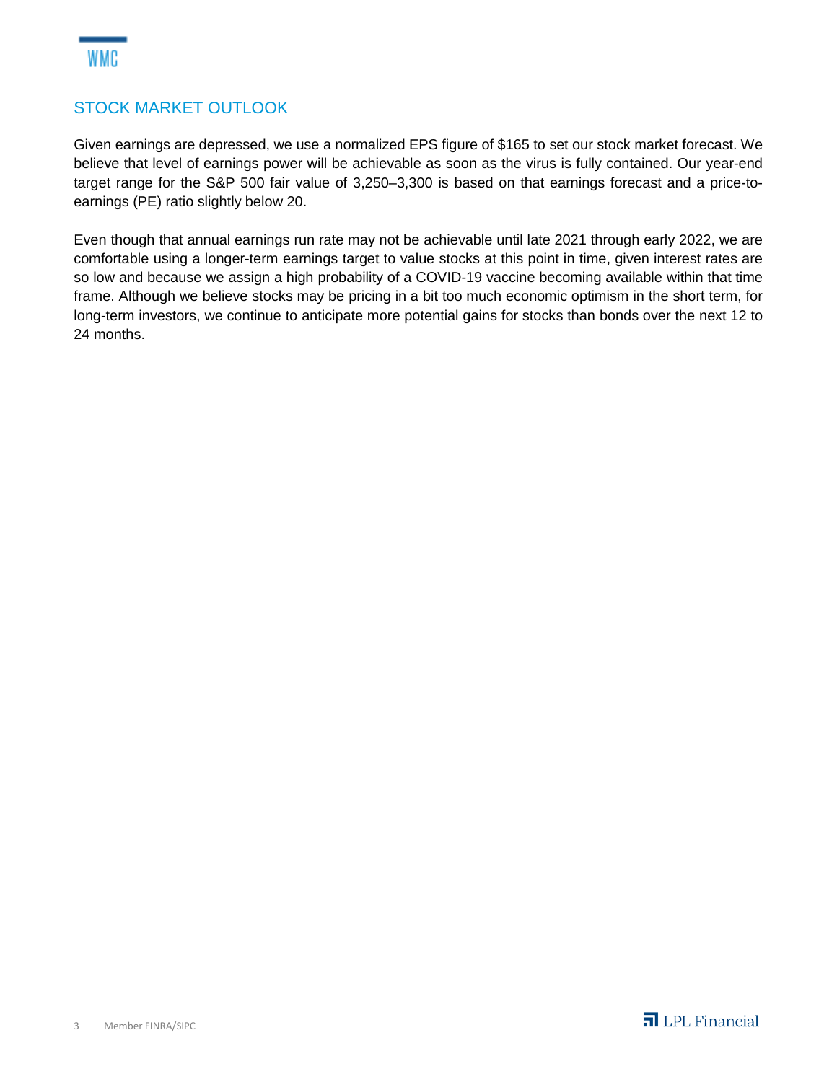## STOCK MARKET OUTLOOK

Given earnings are depressed, we use a normalized EPS figure of \$165 to set our stock market forecast. We believe that level of earnings power will be achievable as soon as the virus is fully contained. Our year-end target range for the S&P 500 fair value of 3,250–3,300 is based on that earnings forecast and a price-toearnings (PE) ratio slightly below 20.

Even though that annual earnings run rate may not be achievable until late 2021 through early 2022, we are comfortable using a longer-term earnings target to value stocks at this point in time, given interest rates are so low and because we assign a high probability of a COVID-19 vaccine becoming available within that time frame. Although we believe stocks may be pricing in a bit too much economic optimism in the short term, for long-term investors, we continue to anticipate more potential gains for stocks than bonds over the next 12 to 24 months.